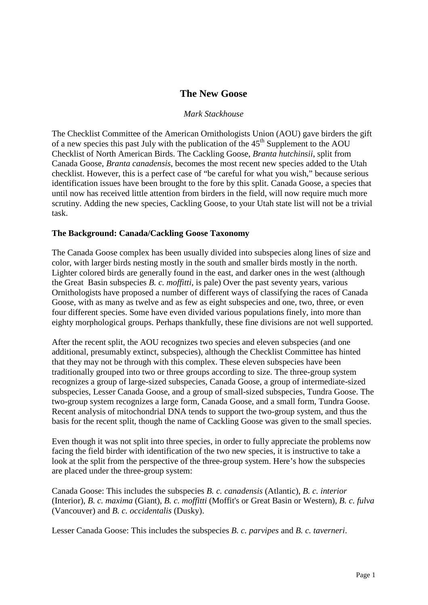# **The New Goose**

#### *Mark Stackhouse*

The Checklist Committee of the American Ornithologists Union (AOU) gave birders the gift of a new species this past July with the publication of the  $45<sup>th</sup>$  Supplement to the AOU Checklist of North American Birds. The Cackling Goose, *Branta hutchinsii*, split from Canada Goose, *Branta canadensis*, becomes the most recent new species added to the Utah checklist. However, this is a perfect case of "be careful for what you wish," because serious identification issues have been brought to the fore by this split. Canada Goose, a species that until now has received little attention from birders in the field, will now require much more scrutiny. Adding the new species, Cackling Goose, to your Utah state list will not be a trivial task.

## **The Background: Canada/Cackling Goose Taxonomy**

The Canada Goose complex has been usually divided into subspecies along lines of size and color, with larger birds nesting mostly in the south and smaller birds mostly in the north. Lighter colored birds are generally found in the east, and darker ones in the west (although the Great Basin subspecies *B. c. moffitti*, is pale) Over the past seventy years, various Ornithologists have proposed a number of different ways of classifying the races of Canada Goose, with as many as twelve and as few as eight subspecies and one, two, three, or even four different species. Some have even divided various populations finely, into more than eighty morphological groups. Perhaps thankfully, these fine divisions are not well supported.

After the recent split, the AOU recognizes two species and eleven subspecies (and one additional, presumably extinct, subspecies), although the Checklist Committee has hinted that they may not be through with this complex. These eleven subspecies have been traditionally grouped into two or three groups according to size. The three-group system recognizes a group of large-sized subspecies, Canada Goose, a group of intermediate-sized subspecies, Lesser Canada Goose, and a group of small-sized subspecies, Tundra Goose. The two-group system recognizes a large form, Canada Goose, and a small form, Tundra Goose. Recent analysis of mitochondrial DNA tends to support the two-group system, and thus the basis for the recent split, though the name of Cackling Goose was given to the small species.

Even though it was not split into three species, in order to fully appreciate the problems now facing the field birder with identification of the two new species, it is instructive to take a look at the split from the perspective of the three-group system. Here's how the subspecies are placed under the three-group system:

Canada Goose: This includes the subspecies *B. c. canadensis* (Atlantic), *B. c. interior* (Interior), *B. c. maxima* (Giant), *B. c. moffitti* (Moffit's or Great Basin or Western), *B. c. fulva* (Vancouver) and *B. c. occidentalis* (Dusky).

Lesser Canada Goose: This includes the subspecies *B. c. parvipes* and *B. c. taverneri*.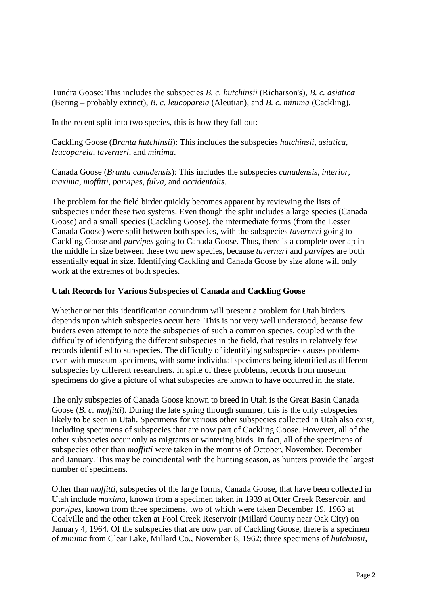Tundra Goose: This includes the subspecies *B. c. hutchinsii* (Richarson's), *B. c. asiatica* (Bering – probably extinct), *B. c. leucopareia* (Aleutian), and *B. c. minima* (Cackling).

In the recent split into two species, this is how they fall out:

Cackling Goose (*Branta hutchinsii*): This includes the subspecies *hutchinsii*, *asiatica*, *leucopareia*, *taverneri*, and *minima*.

Canada Goose (*Branta canadensis*): This includes the subspecies *canadensis*, *interior*, *maxima*, *moffitti*, *parvipes*, *fulva*, and *occidentalis*.

The problem for the field birder quickly becomes apparent by reviewing the lists of subspecies under these two systems. Even though the split includes a large species (Canada Goose) and a small species (Cackling Goose), the intermediate forms (from the Lesser Canada Goose) were split between both species, with the subspecies *taverneri* going to Cackling Goose and *parvipes* going to Canada Goose. Thus, there is a complete overlap in the middle in size between these two new species, because *taverneri* and *parvipes* are both essentially equal in size. Identifying Cackling and Canada Goose by size alone will only work at the extremes of both species.

## **Utah Records for Various Subspecies of Canada and Cackling Goose**

Whether or not this identification conundrum will present a problem for Utah birders depends upon which subspecies occur here. This is not very well understood, because few birders even attempt to note the subspecies of such a common species, coupled with the difficulty of identifying the different subspecies in the field, that results in relatively few records identified to subspecies. The difficulty of identifying subspecies causes problems even with museum specimens, with some individual specimens being identified as different subspecies by different researchers. In spite of these problems, records from museum specimens do give a picture of what subspecies are known to have occurred in the state.

The only subspecies of Canada Goose known to breed in Utah is the Great Basin Canada Goose (*B. c. moffitti*). During the late spring through summer, this is the only subspecies likely to be seen in Utah. Specimens for various other subspecies collected in Utah also exist, including specimens of subspecies that are now part of Cackling Goose. However, all of the other subspecies occur only as migrants or wintering birds. In fact, all of the specimens of subspecies other than *moffitti* were taken in the months of October, November, December and January. This may be coincidental with the hunting season, as hunters provide the largest number of specimens.

Other than *moffitti*, subspecies of the large forms, Canada Goose, that have been collected in Utah include *maxima*, known from a specimen taken in 1939 at Otter Creek Reservoir, and *parvipes*, known from three specimens, two of which were taken December 19, 1963 at Coalville and the other taken at Fool Creek Reservoir (Millard County near Oak City) on January 4, 1964. Of the subspecies that are now part of Cackling Goose, there is a specimen of *minima* from Clear Lake, Millard Co., November 8, 1962; three specimens of *hutchinsii*,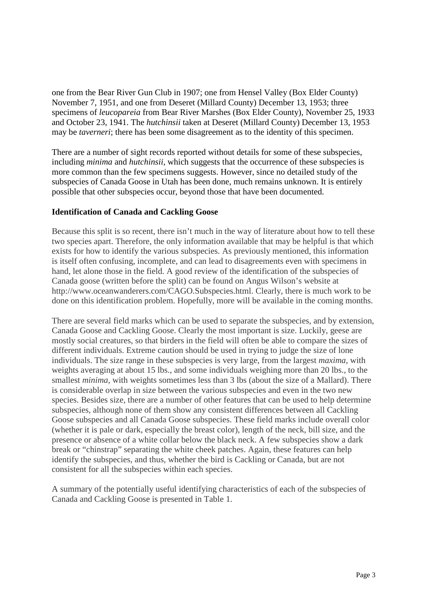one from the Bear River Gun Club in 1907; one from Hensel Valley (Box Elder County) November 7, 1951, and one from Deseret (Millard County) December 13, 1953; three specimens of *leucopareia* from Bear River Marshes (Box Elder County), November 25, 1933 and October 23, 1941. The *hutchinsii* taken at Deseret (Millard County) December 13, 1953 may be *taverneri*; there has been some disagreement as to the identity of this specimen.

There are a number of sight records reported without details for some of these subspecies, including *minima* and *hutchinsii*, which suggests that the occurrence of these subspecies is more common than the few specimens suggests. However, since no detailed study of the subspecies of Canada Goose in Utah has been done, much remains unknown. It is entirely possible that other subspecies occur, beyond those that have been documented.

## **Identification of Canada and Cackling Goose**

Because this split is so recent, there isn't much in the way of literature about how to tell these two species apart. Therefore, the only information available that may be helpful is that which exists for how to identify the various subspecies. As previously mentioned, this information is itself often confusing, incomplete, and can lead to disagreements even with specimens in hand, let alone those in the field. A good review of the identification of the subspecies of Canada goose (written before the split) can be found on Angus Wilson's website at http://www.oceanwanderers.com/CAGO.Subspecies.html. Clearly, there is much work to be done on this identification problem. Hopefully, more will be available in the coming months.

There are several field marks which can be used to separate the subspecies, and by extension, Canada Goose and Cackling Goose. Clearly the most important is size. Luckily, geese are mostly social creatures, so that birders in the field will often be able to compare the sizes of different individuals. Extreme caution should be used in trying to judge the size of lone individuals. The size range in these subspecies is very large, from the largest *maxima*, with weights averaging at about 15 lbs., and some individuals weighing more than 20 lbs., to the smallest *minima*, with weights sometimes less than 3 lbs (about the size of a Mallard). There is considerable overlap in size between the various subspecies and even in the two new species. Besides size, there are a number of other features that can be used to help determine subspecies, although none of them show any consistent differences between all Cackling Goose subspecies and all Canada Goose subspecies. These field marks include overall color (whether it is pale or dark, especially the breast color), length of the neck, bill size, and the presence or absence of a white collar below the black neck. A few subspecies show a dark break or "chinstrap" separating the white cheek patches. Again, these features can help identify the subspecies, and thus, whether the bird is Cackling or Canada, but are not consistent for all the subspecies within each species.

A summary of the potentially useful identifying characteristics of each of the subspecies of Canada and Cackling Goose is presented in Table 1.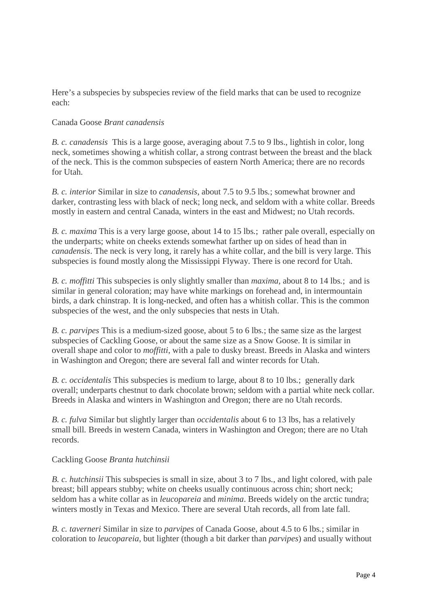Here's a subspecies by subspecies review of the field marks that can be used to recognize each:

## Canada Goose *Brant canadensis*

*B. c. canadensis* This is a large goose, averaging about 7.5 to 9 lbs., lightish in color, long neck, sometimes showing a whitish collar, a strong contrast between the breast and the black of the neck. This is the common subspecies of eastern North America; there are no records for Utah.

*B. c. interior* Similar in size to *canadensis*, about 7.5 to 9.5 lbs*.*; somewhat browner and darker, contrasting less with black of neck; long neck, and seldom with a white collar. Breeds mostly in eastern and central Canada, winters in the east and Midwest; no Utah records.

*B. c. maxima* This is a very large goose, about 14 to 15 lbs*.*; rather pale overall, especially on the underparts; white on cheeks extends somewhat farther up on sides of head than in *canadensis*. The neck is very long, it rarely has a white collar, and the bill is very large. This subspecies is found mostly along the Mississippi Flyway. There is one record for Utah.

*B. c. moffitti* This subspecies is only slightly smaller than *maxima,* about 8 to 14 lbs*.*; and is similar in general coloration; may have white markings on forehead and, in intermountain birds, a dark chinstrap. It is long-necked, and often has a whitish collar. This is the common subspecies of the west, and the only subspecies that nests in Utah.

*B. c. parvipes* This is a medium-sized goose, about 5 to 6 lbs*.*; the same size as the largest subspecies of Cackling Goose, or about the same size as a Snow Goose. It is similar in overall shape and color to *moffitti*, with a pale to dusky breast. Breeds in Alaska and winters in Washington and Oregon; there are several fall and winter records for Utah.

*B. c. occidentalis* This subspecies is medium to large, about 8 to 10 lbs*.*; generally dark overall; underparts chestnut to dark chocolate brown; seldom with a partial white neck collar. Breeds in Alaska and winters in Washington and Oregon; there are no Utah records.

*B. c. fulva* Similar but slightly larger than *occidentalis* about 6 to 13 lbs, has a relatively small bill*.* Breeds in western Canada, winters in Washington and Oregon; there are no Utah records.

#### Cackling Goose *Branta hutchinsii*

*B. c. hutchinsii* This subspecies is small in size, about 3 to 7 lbs*.*, and light colored, with pale breast; bill appears stubby; white on cheeks usually continuous across chin; short neck; seldom has a white collar as in *leucopareia* and *minima*. Breeds widely on the arctic tundra; winters mostly in Texas and Mexico. There are several Utah records, all from late fall.

*B. c. taverneri* Similar in size to *parvipes* of Canada Goose, about 4.5 to 6 lbs*.*; similar in coloration to *leucopareia*, but lighter (though a bit darker than *parvipes*) and usually without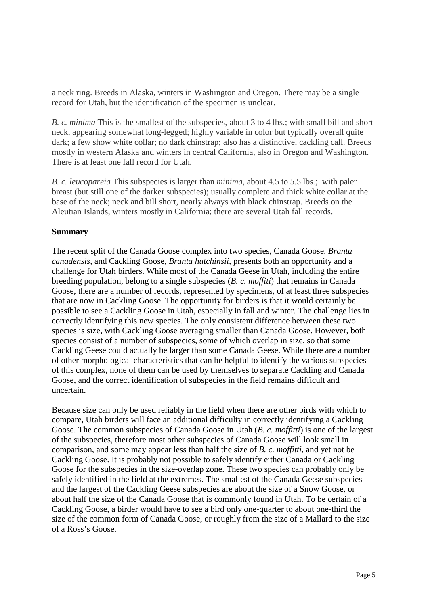a neck ring. Breeds in Alaska, winters in Washington and Oregon. There may be a single record for Utah, but the identification of the specimen is unclear.

*B. c. minima* This is the smallest of the subspecies, about 3 to 4 lbs*.*; with small bill and short neck, appearing somewhat long-legged; highly variable in color but typically overall quite dark; a few show white collar; no dark chinstrap; also has a distinctive, cackling call. Breeds mostly in western Alaska and winters in central California, also in Oregon and Washington. There is at least one fall record for Utah.

*B. c. leucopareia* This subspecies is larger than *minima*, about 4.5 to 5.5 lbs*.*; with paler breast (but still one of the darker subspecies); usually complete and thick white collar at the base of the neck; neck and bill short, nearly always with black chinstrap. Breeds on the Aleutian Islands, winters mostly in California; there are several Utah fall records.

## **Summary**

The recent split of the Canada Goose complex into two species, Canada Goose, *Branta canadensis*, and Cackling Goose, *Branta hutchinsii*, presents both an opportunity and a challenge for Utah birders. While most of the Canada Geese in Utah, including the entire breeding population, belong to a single subspecies (*B. c. moffiti*) that remains in Canada Goose, there are a number of records, represented by specimens, of at least three subspecies that are now in Cackling Goose. The opportunity for birders is that it would certainly be possible to see a Cackling Goose in Utah, especially in fall and winter. The challenge lies in correctly identifying this new species. The only consistent difference between these two species is size, with Cackling Goose averaging smaller than Canada Goose. However, both species consist of a number of subspecies, some of which overlap in size, so that some Cackling Geese could actually be larger than some Canada Geese. While there are a number of other morphological characteristics that can be helpful to identify the various subspecies of this complex, none of them can be used by themselves to separate Cackling and Canada Goose, and the correct identification of subspecies in the field remains difficult and uncertain.

Because size can only be used reliably in the field when there are other birds with which to compare, Utah birders will face an additional difficulty in correctly identifying a Cackling Goose. The common subspecies of Canada Goose in Utah (*B. c. moffitti*) is one of the largest of the subspecies, therefore most other subspecies of Canada Goose will look small in comparison, and some may appear less than half the size of *B. c. moffitti*, and yet not be Cackling Goose. It is probably not possible to safely identify either Canada or Cackling Goose for the subspecies in the size-overlap zone. These two species can probably only be safely identified in the field at the extremes. The smallest of the Canada Geese subspecies and the largest of the Cackling Geese subspecies are about the size of a Snow Goose, or about half the size of the Canada Goose that is commonly found in Utah. To be certain of a Cackling Goose, a birder would have to see a bird only one-quarter to about one-third the size of the common form of Canada Goose, or roughly from the size of a Mallard to the size of a Ross's Goose.